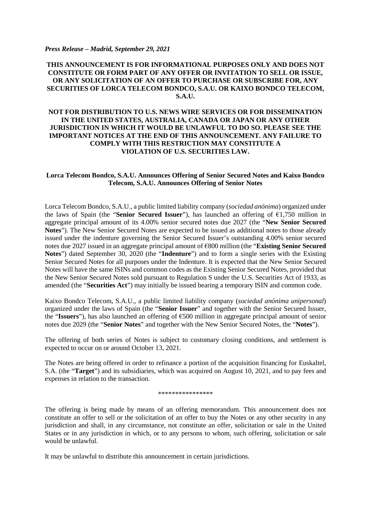## *Press Release – Madrid, September 29, 2021*

## **THIS ANNOUNCEMENT IS FOR INFORMATIONAL PURPOSES ONLY AND DOES NOT CONSTITUTE OR FORM PART OF ANY OFFER OR INVITATION TO SELL OR ISSUE, OR ANY SOLICITATION OF AN OFFER TO PURCHASE OR SUBSCRIBE FOR, ANY SECURITIES OF LORCA TELECOM BONDCO, S.A.U. OR KAIXO BONDCO TELECOM, S.A.U.**

## **NOT FOR DISTRIBUTION TO U.S. NEWS WIRE SERVICES OR FOR DISSEMINATION IN THE UNITED STATES, AUSTRALIA, CANADA OR JAPAN OR ANY OTHER JURISDICTION IN WHICH IT WOULD BE UNLAWFUL TO DO SO. PLEASE SEE THE IMPORTANT NOTICES AT THE END OF THIS ANNOUNCEMENT. ANY FAILURE TO COMPLY WITH THIS RESTRICTION MAY CONSTITUTE A VIOLATION OF U.S. SECURITIES LAW.**

## **Lorca Telecom Bondco, S.A.U. Announces Offering of Senior Secured Notes and Kaixo Bondco Telecom, S.A.U. Announces Offering of Senior Notes**

Lorca Telecom Bondco, S.A.U., a public limited liability company (*sociedad anónima*) organized under the laws of Spain (the "**Senior Secured Issuer**"), has launched an offering of €1,750 million in aggregate principal amount of its 4.00% senior secured notes due 2027 (the "**New Senior Secured Notes**"). The New Senior Secured Notes are expected to be issued as additional notes to those already issued under the indenture governing the Senior Secured Issuer's outstanding 4.00% senior secured notes due 2027 issued in an aggregate principal amount of €800 million (the "**Existing Senior Secured Notes**") dated September 30, 2020 (the "**Indenture**") and to form a single series with the Existing Senior Secured Notes for all purposes under the Indenture. It is expected that the New Senior Secured Notes will have the same ISINs and common codes as the Existing Senior Secured Notes, provided that the New Senior Secured Notes sold pursuant to Regulation S under the U.S. Securities Act of 1933, as amended (the "**Securities Act**") may initially be issued bearing a temporary ISIN and common code.

Kaixo Bondco Telecom, S.A.U., a public limited liability company (*sociedad anónima unipersonal*) organized under the laws of Spain (the "**Senior Issuer**" and together with the Senior Secured Issuer, the "**Issuers**"), has also launched an offering of €500 million in aggregate principal amount of senior notes due 2029 (the "**Senior Notes**" and together with the New Senior Secured Notes, the "**Notes**").

The offering of both series of Notes is subject to customary closing conditions, and settlement is expected to occur on or around October 13, 2021.

The Notes are being offered in order to refinance a portion of the acquisition financing for Euskaltel, S.A. (the "**Target**") and its subsidiaries, which was acquired on August 10, 2021, and to pay fees and expenses in relation to the transaction.

\*\*\*\*\*\*\*\*\*\*\*\*\*\*\*\*

The offering is being made by means of an offering memorandum. This announcement does not constitute an offer to sell or the solicitation of an offer to buy the Notes or any other security in any jurisdiction and shall, in any circumstance, not constitute an offer, solicitation or sale in the United States or in any jurisdiction in which, or to any persons to whom, such offering, solicitation or sale would be unlawful.

It may be unlawful to distribute this announcement in certain jurisdictions.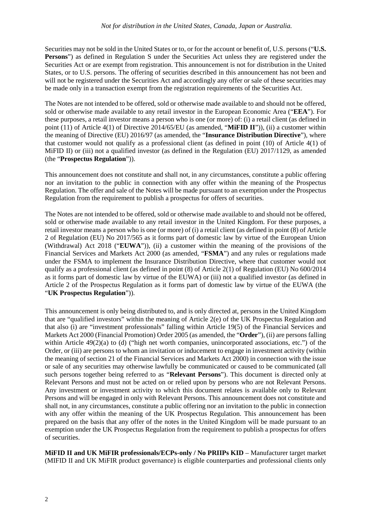Securities may not be sold in the United States or to, or for the account or benefit of, U.S. persons ("**U.S. Persons**") as defined in Regulation S under the Securities Act unless they are registered under the Securities Act or are exempt from registration. This announcement is not for distribution in the United States, or to U.S. persons. The offering of securities described in this announcement has not been and will not be registered under the Securities Act and accordingly any offer or sale of these securities may be made only in a transaction exempt from the registration requirements of the Securities Act.

The Notes are not intended to be offered, sold or otherwise made available to and should not be offered, sold or otherwise made available to any retail investor in the European Economic Area ("**EEA**"). For these purposes, a retail investor means a person who is one (or more) of: (i) a retail client (as defined in point (11) of Article 4(1) of Directive 2014/65/EU (as amended, "**MiFID II**")), (ii) a customer within the meaning of Directive (EU) 2016/97 (as amended, the "**Insurance Distribution Directive**"), where that customer would not qualify as a professional client (as defined in point (10) of Article 4(1) of MiFID II) or (iii) not a qualified investor (as defined in the Regulation (EU) 2017/1129, as amended (the "**Prospectus Regulation**")).

This announcement does not constitute and shall not, in any circumstances, constitute a public offering nor an invitation to the public in connection with any offer within the meaning of the Prospectus Regulation. The offer and sale of the Notes will be made pursuant to an exemption under the Prospectus Regulation from the requirement to publish a prospectus for offers of securities.

The Notes are not intended to be offered, sold or otherwise made available to and should not be offered, sold or otherwise made available to any retail investor in the United Kingdom. For these purposes, a retail investor means a person who is one (or more) of (i) a retail client (as defined in point (8) of Article 2 of Regulation (EU) No 2017/565 as it forms part of domestic law by virtue of the European Union (Withdrawal) Act 2018 ("**EUWA**")), (ii) a customer within the meaning of the provisions of the Financial Services and Markets Act 2000 (as amended, "**FSMA**") and any rules or regulations made under the FSMA to implement the Insurance Distribution Directive, where that customer would not qualify as a professional client (as defined in point (8) of Article 2(1) of Regulation (EU) No 600/2014 as it forms part of domestic law by virtue of the EUWA) or (iii) not a qualified investor (as defined in Article 2 of the Prospectus Regulation as it forms part of domestic law by virtue of the EUWA (the "**UK Prospectus Regulation**")).

This announcement is only being distributed to, and is only directed at, persons in the United Kingdom that are "qualified investors" within the meaning of Article 2(e) of the UK Prospectus Regulation and that also (i) are "investment professionals" falling within Article 19(5) of the Financial Services and Markets Act 2000 (Financial Promotion) Order 2005 (as amended, the "**Order**"), (ii) are persons falling within Article 49(2)(a) to (d) ("high net worth companies, unincorporated associations, etc.") of the Order, or (iii) are persons to whom an invitation or inducement to engage in investment activity (within the meaning of section 21 of the Financial Services and Markets Act 2000) in connection with the issue or sale of any securities may otherwise lawfully be communicated or caused to be communicated (all such persons together being referred to as "**Relevant Persons**"). This document is directed only at Relevant Persons and must not be acted on or relied upon by persons who are not Relevant Persons. Any investment or investment activity to which this document relates is available only to Relevant Persons and will be engaged in only with Relevant Persons. This announcement does not constitute and shall not, in any circumstances, constitute a public offering nor an invitation to the public in connection with any offer within the meaning of the UK Prospectus Regulation. This announcement has been prepared on the basis that any offer of the notes in the United Kingdom will be made pursuant to an exemption under the UK Prospectus Regulation from the requirement to publish a prospectus for offers of securities.

**MiFID II and UK MiFIR professionals/ECPs-only / No PRIIPs KID** – Manufacturer target market (MIFID II and UK MiFIR product governance) is eligible counterparties and professional clients only